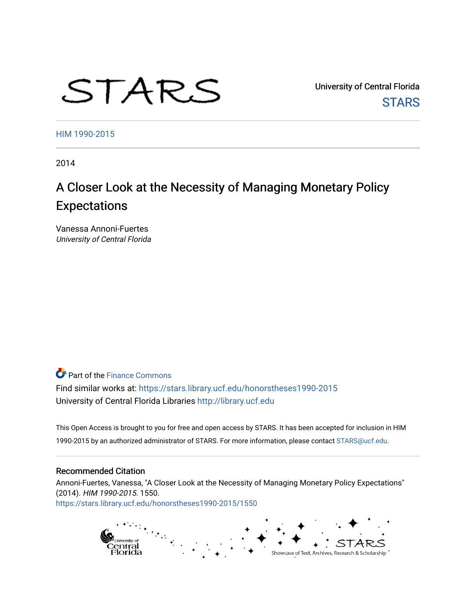# STARS

University of Central Florida **STARS** 

[HIM 1990-2015](https://stars.library.ucf.edu/honorstheses1990-2015) 

2014

# A Closer Look at the Necessity of Managing Monetary Policy Expectations

Vanessa Annoni-Fuertes University of Central Florida

**Part of the Finance Commons** 

Find similar works at: <https://stars.library.ucf.edu/honorstheses1990-2015> University of Central Florida Libraries [http://library.ucf.edu](http://library.ucf.edu/) 

This Open Access is brought to you for free and open access by STARS. It has been accepted for inclusion in HIM 1990-2015 by an authorized administrator of STARS. For more information, please contact [STARS@ucf.edu](mailto:STARS@ucf.edu).

#### Recommended Citation

Annoni-Fuertes, Vanessa, "A Closer Look at the Necessity of Managing Monetary Policy Expectations" (2014). HIM 1990-2015. 1550. [https://stars.library.ucf.edu/honorstheses1990-2015/1550](https://stars.library.ucf.edu/honorstheses1990-2015/1550?utm_source=stars.library.ucf.edu%2Fhonorstheses1990-2015%2F1550&utm_medium=PDF&utm_campaign=PDFCoverPages) 

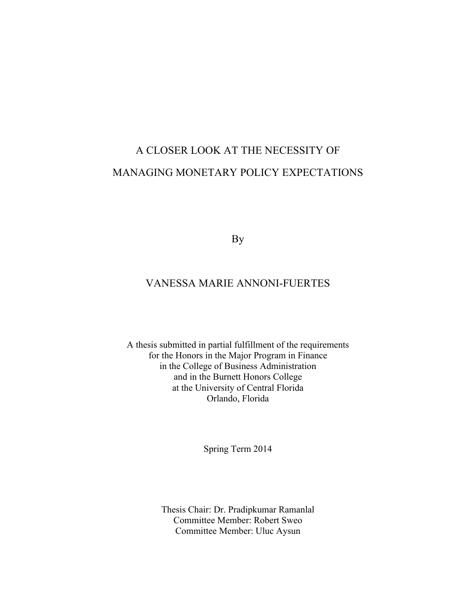# A CLOSER LOOK AT THE NECESSITY OF MANAGING MONETARY POLICY EXPECTATIONS

By

# VANESSA MARIE ANNONI-FUERTES

A thesis submitted in partial fulfillment of the requirements for the Honors in the Major Program in Finance in the College of Business Administration and in the Burnett Honors College at the University of Central Florida Orlando, Florida

Spring Term 2014

Thesis Chair: Dr. Pradipkumar Ramanlal Committee Member: Robert Sweo Committee Member: Uluc Aysun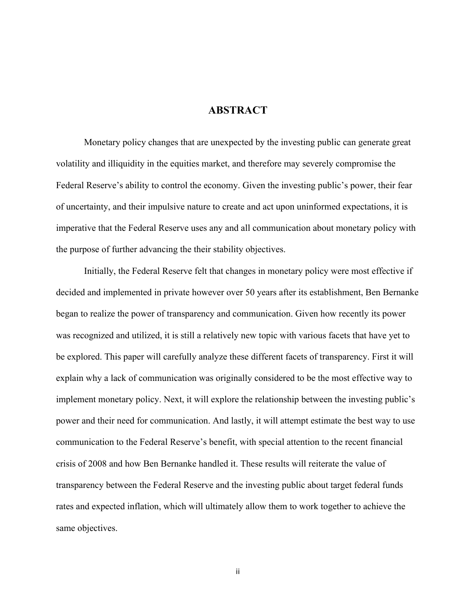# **ABSTRACT**

Monetary policy changes that are unexpected by the investing public can generate great volatility and illiquidity in the equities market, and therefore may severely compromise the Federal Reserve's ability to control the economy. Given the investing public's power, their fear of uncertainty, and their impulsive nature to create and act upon uninformed expectations, it is imperative that the Federal Reserve uses any and all communication about monetary policy with the purpose of further advancing the their stability objectives.

Initially, the Federal Reserve felt that changes in monetary policy were most effective if decided and implemented in private however over 50 years after its establishment, Ben Bernanke began to realize the power of transparency and communication. Given how recently its power was recognized and utilized, it is still a relatively new topic with various facets that have yet to be explored. This paper will carefully analyze these different facets of transparency. First it will explain why a lack of communication was originally considered to be the most effective way to implement monetary policy. Next, it will explore the relationship between the investing public's power and their need for communication. And lastly, it will attempt estimate the best way to use communication to the Federal Reserve's benefit, with special attention to the recent financial crisis of 2008 and how Ben Bernanke handled it. These results will reiterate the value of transparency between the Federal Reserve and the investing public about target federal funds rates and expected inflation, which will ultimately allow them to work together to achieve the same objectives.

ii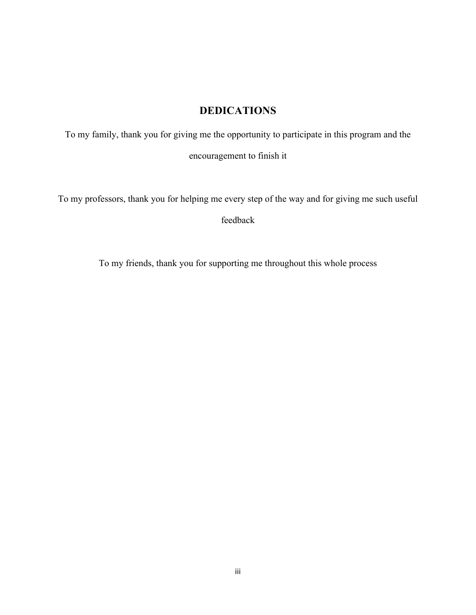# **DEDICATIONS**

To my family, thank you for giving me the opportunity to participate in this program and the encouragement to finish it

To my professors, thank you for helping me every step of the way and for giving me such useful

feedback

To my friends, thank you for supporting me throughout this whole process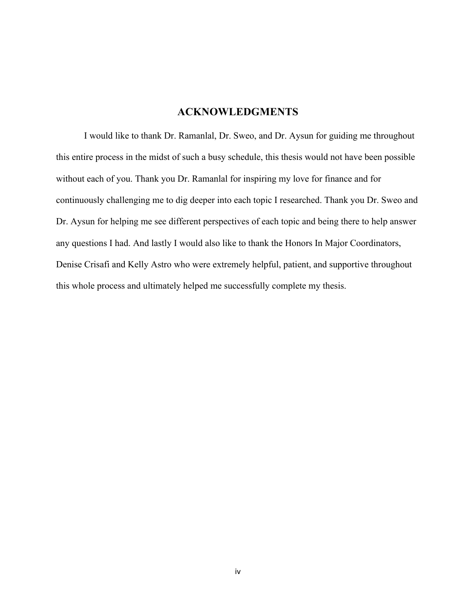#### **ACKNOWLEDGMENTS**

I would like to thank Dr. Ramanlal, Dr. Sweo, and Dr. Aysun for guiding me throughout this entire process in the midst of such a busy schedule, this thesis would not have been possible without each of you. Thank you Dr. Ramanlal for inspiring my love for finance and for continuously challenging me to dig deeper into each topic I researched. Thank you Dr. Sweo and Dr. Aysun for helping me see different perspectives of each topic and being there to help answer any questions I had. And lastly I would also like to thank the Honors In Major Coordinators, Denise Crisafi and Kelly Astro who were extremely helpful, patient, and supportive throughout this whole process and ultimately helped me successfully complete my thesis.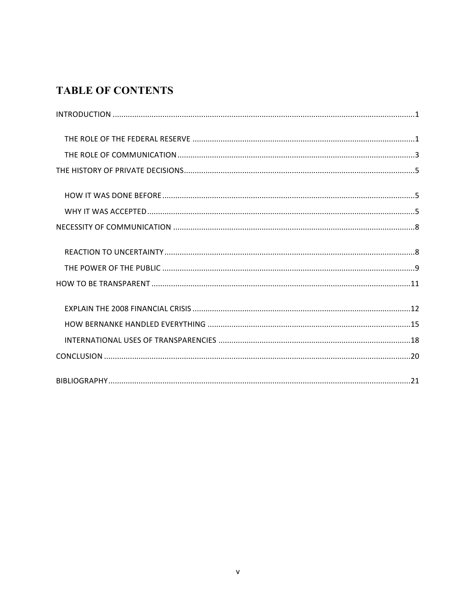# **TABLE OF CONTENTS**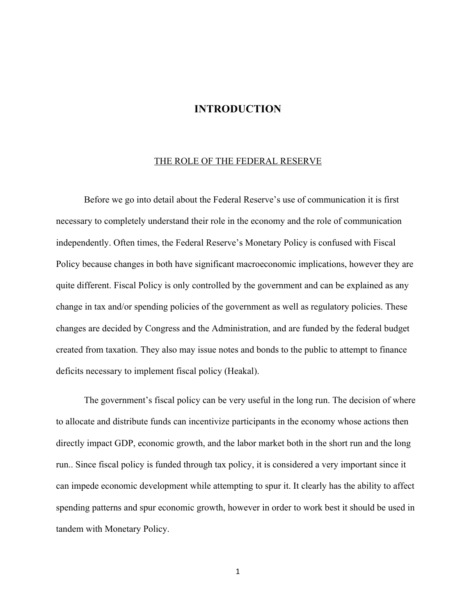#### **INTRODUCTION**

#### THE ROLE OF THE FEDERAL RESERVE

Before we go into detail about the Federal Reserve's use of communication it is first necessary to completely understand their role in the economy and the role of communication independently. Often times, the Federal Reserve's Monetary Policy is confused with Fiscal Policy because changes in both have significant macroeconomic implications, however they are quite different. Fiscal Policy is only controlled by the government and can be explained as any change in tax and/or spending policies of the government as well as regulatory policies. These changes are decided by Congress and the Administration, and are funded by the federal budget created from taxation. They also may issue notes and bonds to the public to attempt to finance deficits necessary to implement fiscal policy (Heakal).

The government's fiscal policy can be very useful in the long run. The decision of where to allocate and distribute funds can incentivize participants in the economy whose actions then directly impact GDP, economic growth, and the labor market both in the short run and the long run.. Since fiscal policy is funded through tax policy, it is considered a very important since it can impede economic development while attempting to spur it. It clearly has the ability to affect spending patterns and spur economic growth, however in order to work best it should be used in tandem with Monetary Policy.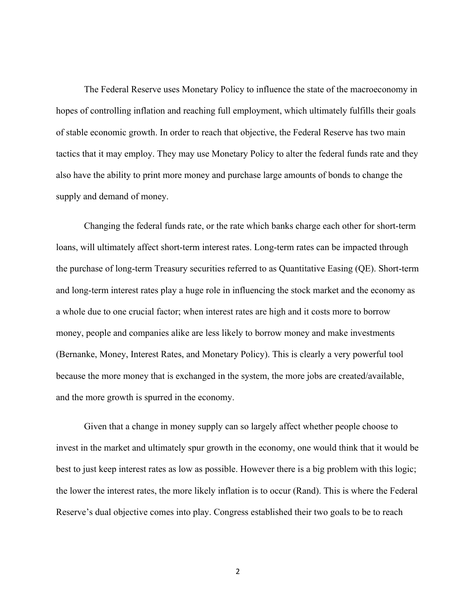The Federal Reserve uses Monetary Policy to influence the state of the macroeconomy in hopes of controlling inflation and reaching full employment, which ultimately fulfills their goals of stable economic growth. In order to reach that objective, the Federal Reserve has two main tactics that it may employ. They may use Monetary Policy to alter the federal funds rate and they also have the ability to print more money and purchase large amounts of bonds to change the supply and demand of money.

Changing the federal funds rate, or the rate which banks charge each other for short-term loans, will ultimately affect short-term interest rates. Long-term rates can be impacted through the purchase of long-term Treasury securities referred to as Quantitative Easing (QE). Short-term and long-term interest rates play a huge role in influencing the stock market and the economy as a whole due to one crucial factor; when interest rates are high and it costs more to borrow money, people and companies alike are less likely to borrow money and make investments (Bernanke, Money, Interest Rates, and Monetary Policy). This is clearly a very powerful tool because the more money that is exchanged in the system, the more jobs are created/available, and the more growth is spurred in the economy.

Given that a change in money supply can so largely affect whether people choose to invest in the market and ultimately spur growth in the economy, one would think that it would be best to just keep interest rates as low as possible. However there is a big problem with this logic; the lower the interest rates, the more likely inflation is to occur (Rand). This is where the Federal Reserve's dual objective comes into play. Congress established their two goals to be to reach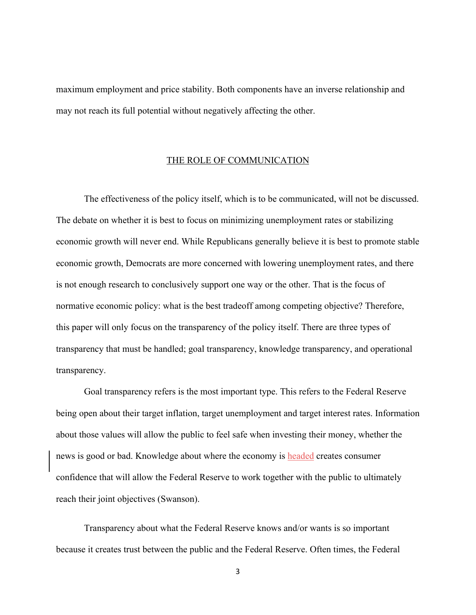maximum employment and price stability. Both components have an inverse relationship and may not reach its full potential without negatively affecting the other.

#### THE ROLE OF COMMUNICATION

The effectiveness of the policy itself, which is to be communicated, will not be discussed. The debate on whether it is best to focus on minimizing unemployment rates or stabilizing economic growth will never end. While Republicans generally believe it is best to promote stable economic growth, Democrats are more concerned with lowering unemployment rates, and there is not enough research to conclusively support one way or the other. That is the focus of normative economic policy: what is the best tradeoff among competing objective? Therefore, this paper will only focus on the transparency of the policy itself. There are three types of transparency that must be handled; goal transparency, knowledge transparency, and operational transparency.

Goal transparency refers is the most important type. This refers to the Federal Reserve being open about their target inflation, target unemployment and target interest rates. Information about those values will allow the public to feel safe when investing their money, whether the news is good or bad. Knowledge about where the economy is headed creates consumer confidence that will allow the Federal Reserve to work together with the public to ultimately reach their joint objectives (Swanson).

Transparency about what the Federal Reserve knows and/or wants is so important because it creates trust between the public and the Federal Reserve. Often times, the Federal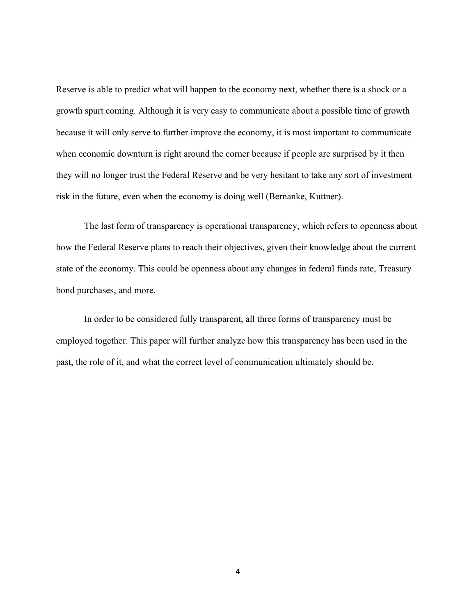Reserve is able to predict what will happen to the economy next, whether there is a shock or a growth spurt coming. Although it is very easy to communicate about a possible time of growth because it will only serve to further improve the economy, it is most important to communicate when economic downturn is right around the corner because if people are surprised by it then they will no longer trust the Federal Reserve and be very hesitant to take any sort of investment risk in the future, even when the economy is doing well (Bernanke, Kuttner).

The last form of transparency is operational transparency, which refers to openness about how the Federal Reserve plans to reach their objectives, given their knowledge about the current state of the economy. This could be openness about any changes in federal funds rate, Treasury bond purchases, and more.

In order to be considered fully transparent, all three forms of transparency must be employed together. This paper will further analyze how this transparency has been used in the past, the role of it, and what the correct level of communication ultimately should be.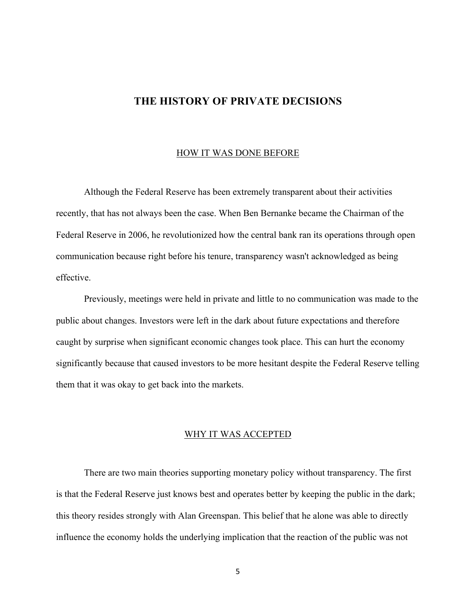# **THE HISTORY OF PRIVATE DECISIONS**

#### HOW IT WAS DONE BEFORE

Although the Federal Reserve has been extremely transparent about their activities recently, that has not always been the case. When Ben Bernanke became the Chairman of the Federal Reserve in 2006, he revolutionized how the central bank ran its operations through open communication because right before his tenure, transparency wasn't acknowledged as being effective.

Previously, meetings were held in private and little to no communication was made to the public about changes. Investors were left in the dark about future expectations and therefore caught by surprise when significant economic changes took place. This can hurt the economy significantly because that caused investors to be more hesitant despite the Federal Reserve telling them that it was okay to get back into the markets.

#### WHY IT WAS ACCEPTED

There are two main theories supporting monetary policy without transparency. The first is that the Federal Reserve just knows best and operates better by keeping the public in the dark; this theory resides strongly with Alan Greenspan. This belief that he alone was able to directly influence the economy holds the underlying implication that the reaction of the public was not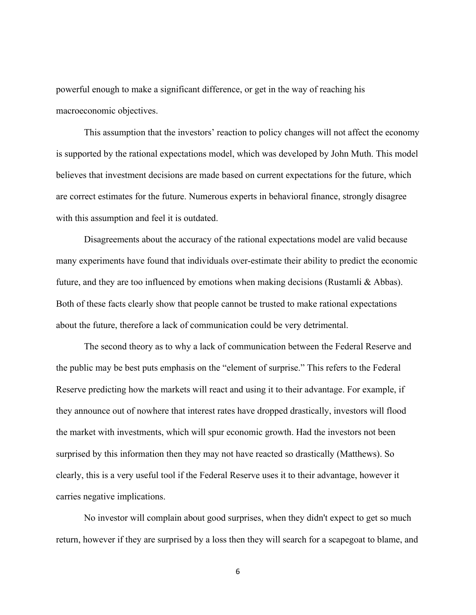powerful enough to make a significant difference, or get in the way of reaching his macroeconomic objectives.

This assumption that the investors' reaction to policy changes will not affect the economy is supported by the rational expectations model, which was developed by John Muth. This model believes that investment decisions are made based on current expectations for the future, which are correct estimates for the future. Numerous experts in behavioral finance, strongly disagree with this assumption and feel it is outdated.

Disagreements about the accuracy of the rational expectations model are valid because many experiments have found that individuals over-estimate their ability to predict the economic future, and they are too influenced by emotions when making decisions (Rustamli & Abbas). Both of these facts clearly show that people cannot be trusted to make rational expectations about the future, therefore a lack of communication could be very detrimental.

The second theory as to why a lack of communication between the Federal Reserve and the public may be best puts emphasis on the "element of surprise." This refers to the Federal Reserve predicting how the markets will react and using it to their advantage. For example, if they announce out of nowhere that interest rates have dropped drastically, investors will flood the market with investments, which will spur economic growth. Had the investors not been surprised by this information then they may not have reacted so drastically (Matthews). So clearly, this is a very useful tool if the Federal Reserve uses it to their advantage, however it carries negative implications.

No investor will complain about good surprises, when they didn't expect to get so much return, however if they are surprised by a loss then they will search for a scapegoat to blame, and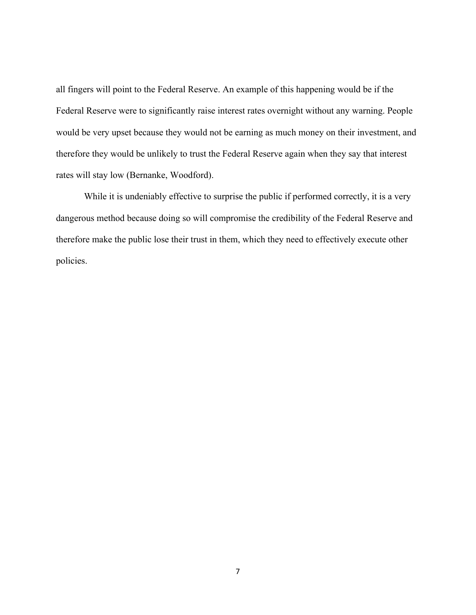all fingers will point to the Federal Reserve. An example of this happening would be if the Federal Reserve were to significantly raise interest rates overnight without any warning. People would be very upset because they would not be earning as much money on their investment, and therefore they would be unlikely to trust the Federal Reserve again when they say that interest rates will stay low (Bernanke, Woodford).

While it is undeniably effective to surprise the public if performed correctly, it is a very dangerous method because doing so will compromise the credibility of the Federal Reserve and therefore make the public lose their trust in them, which they need to effectively execute other policies.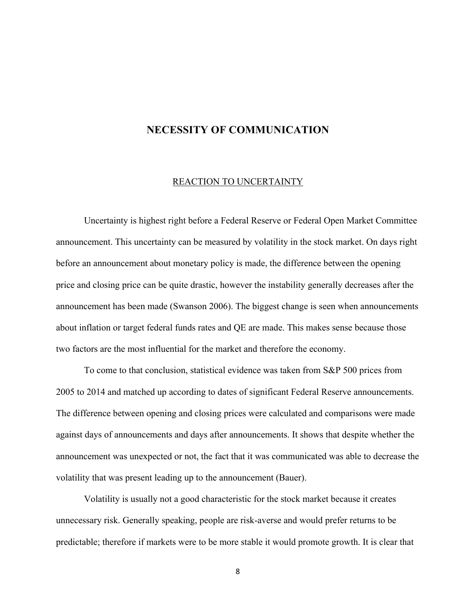# **NECESSITY OF COMMUNICATION**

#### REACTION TO UNCERTAINTY

Uncertainty is highest right before a Federal Reserve or Federal Open Market Committee announcement. This uncertainty can be measured by volatility in the stock market. On days right before an announcement about monetary policy is made, the difference between the opening price and closing price can be quite drastic, however the instability generally decreases after the announcement has been made (Swanson 2006). The biggest change is seen when announcements about inflation or target federal funds rates and QE are made. This makes sense because those two factors are the most influential for the market and therefore the economy.

To come to that conclusion, statistical evidence was taken from S&P 500 prices from 2005 to 2014 and matched up according to dates of significant Federal Reserve announcements. The difference between opening and closing prices were calculated and comparisons were made against days of announcements and days after announcements. It shows that despite whether the announcement was unexpected or not, the fact that it was communicated was able to decrease the volatility that was present leading up to the announcement (Bauer).

Volatility is usually not a good characteristic for the stock market because it creates unnecessary risk. Generally speaking, people are risk-averse and would prefer returns to be predictable; therefore if markets were to be more stable it would promote growth. It is clear that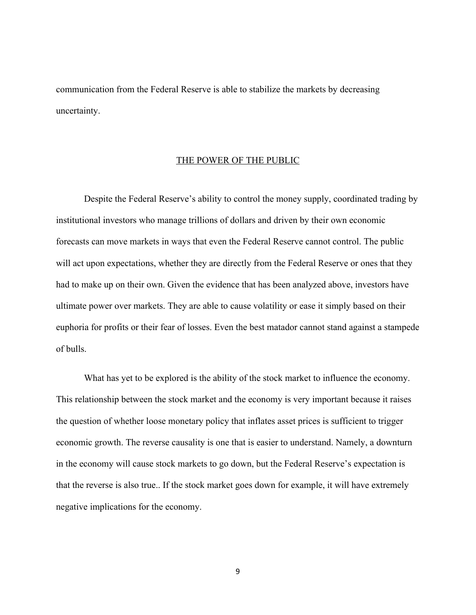communication from the Federal Reserve is able to stabilize the markets by decreasing uncertainty.

#### THE POWER OF THE PUBLIC

Despite the Federal Reserve's ability to control the money supply, coordinated trading by institutional investors who manage trillions of dollars and driven by their own economic forecasts can move markets in ways that even the Federal Reserve cannot control. The public will act upon expectations, whether they are directly from the Federal Reserve or ones that they had to make up on their own. Given the evidence that has been analyzed above, investors have ultimate power over markets. They are able to cause volatility or ease it simply based on their euphoria for profits or their fear of losses. Even the best matador cannot stand against a stampede of bulls.

What has yet to be explored is the ability of the stock market to influence the economy. This relationship between the stock market and the economy is very important because it raises the question of whether loose monetary policy that inflates asset prices is sufficient to trigger economic growth. The reverse causality is one that is easier to understand. Namely, a downturn in the economy will cause stock markets to go down, but the Federal Reserve's expectation is that the reverse is also true.. If the stock market goes down for example, it will have extremely negative implications for the economy.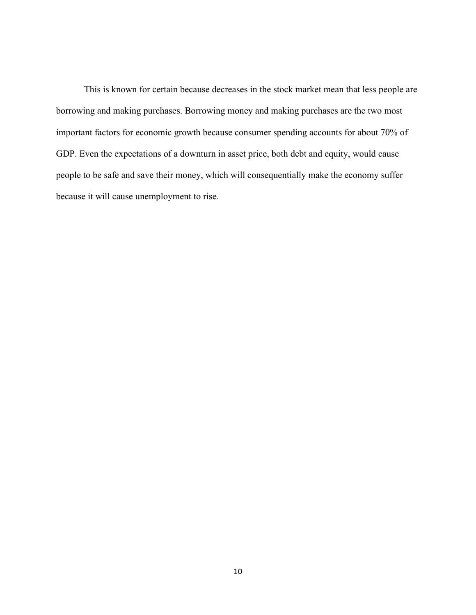This is known for certain because decreases in the stock market mean that less people are borrowing and making purchases. Borrowing money and making purchases are the two most important factors for economic growth because consumer spending accounts for about 70% of GDP. Even the expectations of a downturn in asset price, both debt and equity, would cause people to be safe and save their money, which will consequentially make the economy suffer because it will cause unemployment to rise.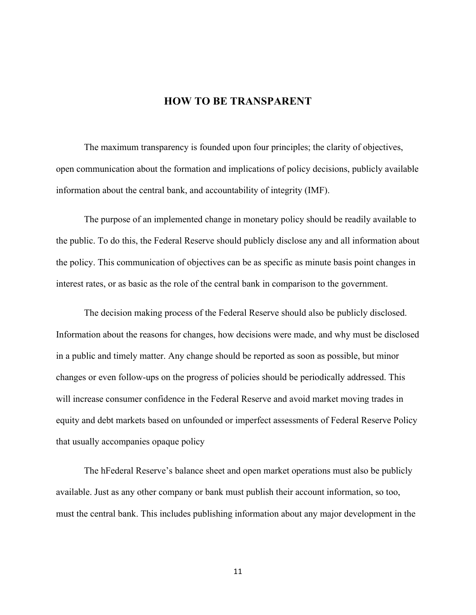# **HOW TO BE TRANSPARENT**

The maximum transparency is founded upon four principles; the clarity of objectives, open communication about the formation and implications of policy decisions, publicly available information about the central bank, and accountability of integrity (IMF).

The purpose of an implemented change in monetary policy should be readily available to the public. To do this, the Federal Reserve should publicly disclose any and all information about the policy. This communication of objectives can be as specific as minute basis point changes in interest rates, or as basic as the role of the central bank in comparison to the government.

The decision making process of the Federal Reserve should also be publicly disclosed. Information about the reasons for changes, how decisions were made, and why must be disclosed in a public and timely matter. Any change should be reported as soon as possible, but minor changes or even follow-ups on the progress of policies should be periodically addressed. This will increase consumer confidence in the Federal Reserve and avoid market moving trades in equity and debt markets based on unfounded or imperfect assessments of Federal Reserve Policy that usually accompanies opaque policy

The hFederal Reserve's balance sheet and open market operations must also be publicly available. Just as any other company or bank must publish their account information, so too, must the central bank. This includes publishing information about any major development in the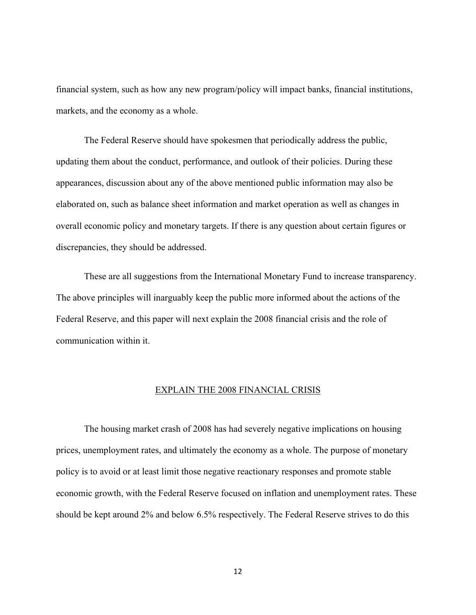financial system, such as how any new program/policy will impact banks, financial institutions, markets, and the economy as a whole.

The Federal Reserve should have spokesmen that periodically address the public, updating them about the conduct, performance, and outlook of their policies. During these appearances, discussion about any of the above mentioned public information may also be elaborated on, such as balance sheet information and market operation as well as changes in overall economic policy and monetary targets. If there is any question about certain figures or discrepancies, they should be addressed.

These are all suggestions from the International Monetary Fund to increase transparency. The above principles will inarguably keep the public more informed about the actions of the Federal Reserve, and this paper will next explain the 2008 financial crisis and the role of communication within it.

#### EXPLAIN THE 2008 FINANCIAL CRISIS

The housing market crash of 2008 has had severely negative implications on housing prices, unemployment rates, and ultimately the economy as a whole. The purpose of monetary policy is to avoid or at least limit those negative reactionary responses and promote stable economic growth, with the Federal Reserve focused on inflation and unemployment rates. These should be kept around 2% and below 6.5% respectively. The Federal Reserve strives to do this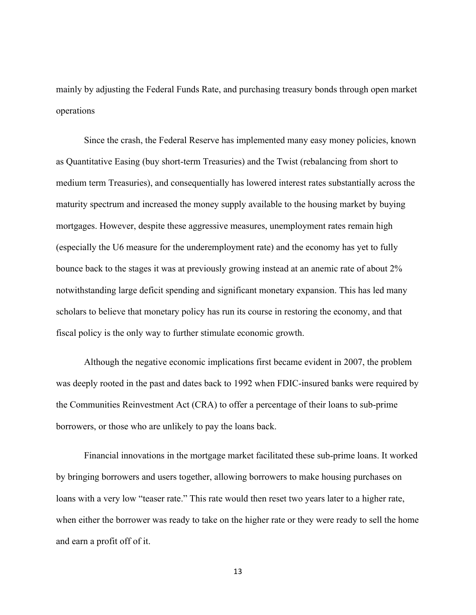mainly by adjusting the Federal Funds Rate, and purchasing treasury bonds through open market operations

Since the crash, the Federal Reserve has implemented many easy money policies, known as Quantitative Easing (buy short-term Treasuries) and the Twist (rebalancing from short to medium term Treasuries), and consequentially has lowered interest rates substantially across the maturity spectrum and increased the money supply available to the housing market by buying mortgages. However, despite these aggressive measures, unemployment rates remain high (especially the U6 measure for the underemployment rate) and the economy has yet to fully bounce back to the stages it was at previously growing instead at an anemic rate of about 2% notwithstanding large deficit spending and significant monetary expansion. This has led many scholars to believe that monetary policy has run its course in restoring the economy, and that fiscal policy is the only way to further stimulate economic growth.

Although the negative economic implications first became evident in 2007, the problem was deeply rooted in the past and dates back to 1992 when FDIC-insured banks were required by the Communities Reinvestment Act (CRA) to offer a percentage of their loans to sub-prime borrowers, or those who are unlikely to pay the loans back.

Financial innovations in the mortgage market facilitated these sub-prime loans. It worked by bringing borrowers and users together, allowing borrowers to make housing purchases on loans with a very low "teaser rate." This rate would then reset two years later to a higher rate, when either the borrower was ready to take on the higher rate or they were ready to sell the home and earn a profit off of it.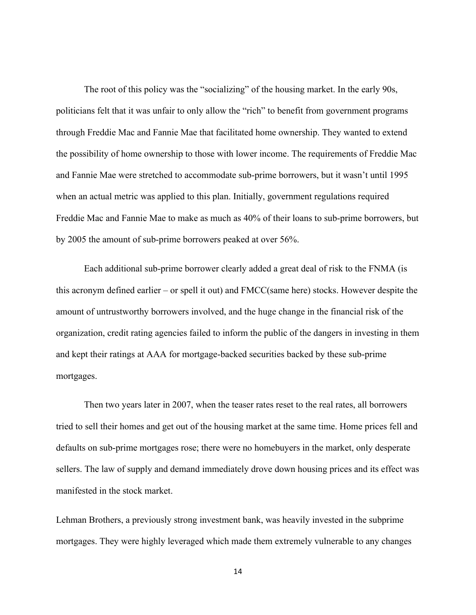The root of this policy was the "socializing" of the housing market. In the early 90s, politicians felt that it was unfair to only allow the "rich" to benefit from government programs through Freddie Mac and Fannie Mae that facilitated home ownership. They wanted to extend the possibility of home ownership to those with lower income. The requirements of Freddie Mac and Fannie Mae were stretched to accommodate sub-prime borrowers, but it wasn't until 1995 when an actual metric was applied to this plan. Initially, government regulations required Freddie Mac and Fannie Mae to make as much as 40% of their loans to sub-prime borrowers, but by 2005 the amount of sub-prime borrowers peaked at over 56%.

Each additional sub-prime borrower clearly added a great deal of risk to the FNMA (is this acronym defined earlier – or spell it out) and FMCC(same here) stocks. However despite the amount of untrustworthy borrowers involved, and the huge change in the financial risk of the organization, credit rating agencies failed to inform the public of the dangers in investing in them and kept their ratings at AAA for mortgage-backed securities backed by these sub-prime mortgages.

Then two years later in 2007, when the teaser rates reset to the real rates, all borrowers tried to sell their homes and get out of the housing market at the same time. Home prices fell and defaults on sub-prime mortgages rose; there were no homebuyers in the market, only desperate sellers. The law of supply and demand immediately drove down housing prices and its effect was manifested in the stock market.

Lehman Brothers, a previously strong investment bank, was heavily invested in the subprime mortgages. They were highly leveraged which made them extremely vulnerable to any changes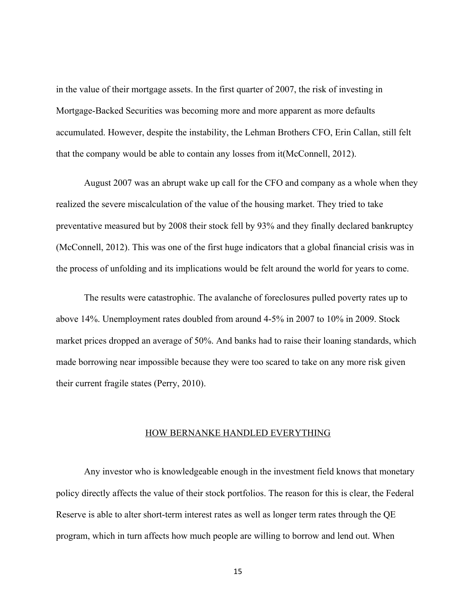in the value of their mortgage assets. In the first quarter of 2007, the risk of investing in Mortgage-Backed Securities was becoming more and more apparent as more defaults accumulated. However, despite the instability, the Lehman Brothers CFO, Erin Callan, still felt that the company would be able to contain any losses from it(McConnell, 2012).

August 2007 was an abrupt wake up call for the CFO and company as a whole when they realized the severe miscalculation of the value of the housing market. They tried to take preventative measured but by 2008 their stock fell by 93% and they finally declared bankruptcy (McConnell, 2012). This was one of the first huge indicators that a global financial crisis was in the process of unfolding and its implications would be felt around the world for years to come.

The results were catastrophic. The avalanche of foreclosures pulled poverty rates up to above 14%. Unemployment rates doubled from around 4-5% in 2007 to 10% in 2009. Stock market prices dropped an average of 50%. And banks had to raise their loaning standards, which made borrowing near impossible because they were too scared to take on any more risk given their current fragile states (Perry, 2010).

#### HOW BERNANKE HANDLED EVERYTHING

Any investor who is knowledgeable enough in the investment field knows that monetary policy directly affects the value of their stock portfolios. The reason for this is clear, the Federal Reserve is able to alter short-term interest rates as well as longer term rates through the QE program, which in turn affects how much people are willing to borrow and lend out. When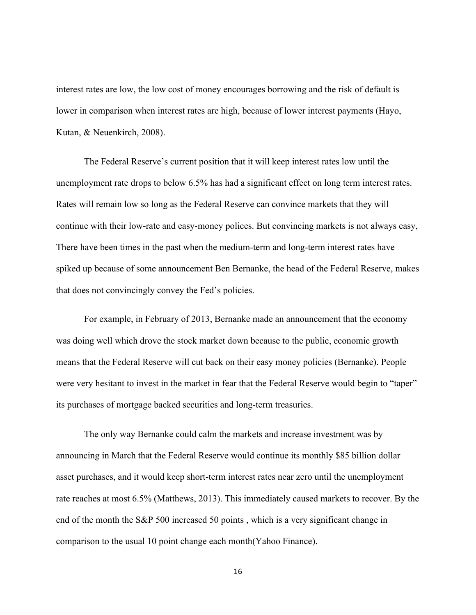interest rates are low, the low cost of money encourages borrowing and the risk of default is lower in comparison when interest rates are high, because of lower interest payments (Hayo, Kutan, & Neuenkirch, 2008).

The Federal Reserve's current position that it will keep interest rates low until the unemployment rate drops to below 6.5% has had a significant effect on long term interest rates. Rates will remain low so long as the Federal Reserve can convince markets that they will continue with their low-rate and easy-money polices. But convincing markets is not always easy, There have been times in the past when the medium-term and long-term interest rates have spiked up because of some announcement Ben Bernanke, the head of the Federal Reserve, makes that does not convincingly convey the Fed's policies.

For example, in February of 2013, Bernanke made an announcement that the economy was doing well which drove the stock market down because to the public, economic growth means that the Federal Reserve will cut back on their easy money policies (Bernanke). People were very hesitant to invest in the market in fear that the Federal Reserve would begin to "taper" its purchases of mortgage backed securities and long-term treasuries.

The only way Bernanke could calm the markets and increase investment was by announcing in March that the Federal Reserve would continue its monthly \$85 billion dollar asset purchases, and it would keep short-term interest rates near zero until the unemployment rate reaches at most 6.5% (Matthews, 2013). This immediately caused markets to recover. By the end of the month the S&P 500 increased 50 points , which is a very significant change in comparison to the usual 10 point change each month(Yahoo Finance).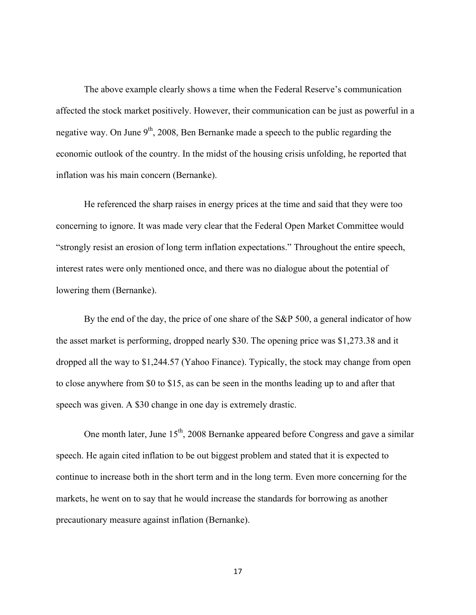The above example clearly shows a time when the Federal Reserve's communication affected the stock market positively. However, their communication can be just as powerful in a negative way. On June  $9<sup>th</sup>$ , 2008, Ben Bernanke made a speech to the public regarding the economic outlook of the country. In the midst of the housing crisis unfolding, he reported that inflation was his main concern (Bernanke).

He referenced the sharp raises in energy prices at the time and said that they were too concerning to ignore. It was made very clear that the Federal Open Market Committee would "strongly resist an erosion of long term inflation expectations." Throughout the entire speech, interest rates were only mentioned once, and there was no dialogue about the potential of lowering them (Bernanke).

By the end of the day, the price of one share of the S&P 500, a general indicator of how the asset market is performing, dropped nearly \$30. The opening price was \$1,273.38 and it dropped all the way to \$1,244.57 (Yahoo Finance). Typically, the stock may change from open to close anywhere from \$0 to \$15, as can be seen in the months leading up to and after that speech was given. A \$30 change in one day is extremely drastic.

One month later, June  $15<sup>th</sup>$ , 2008 Bernanke appeared before Congress and gave a similar speech. He again cited inflation to be out biggest problem and stated that it is expected to continue to increase both in the short term and in the long term. Even more concerning for the markets, he went on to say that he would increase the standards for borrowing as another precautionary measure against inflation (Bernanke).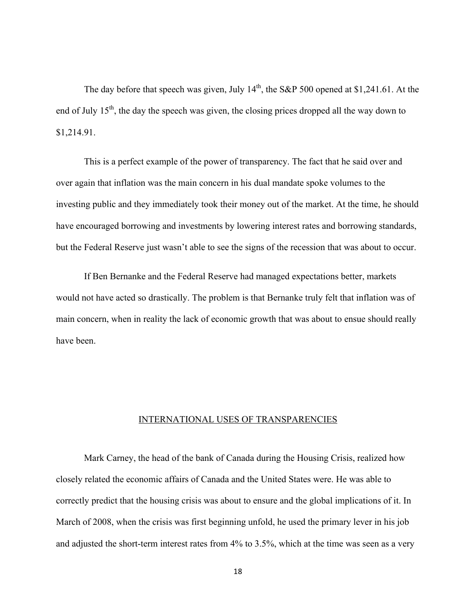The day before that speech was given, July  $14<sup>th</sup>$ , the S&P 500 opened at \$1,241.61. At the end of July  $15<sup>th</sup>$ , the day the speech was given, the closing prices dropped all the way down to \$1,214.91.

This is a perfect example of the power of transparency. The fact that he said over and over again that inflation was the main concern in his dual mandate spoke volumes to the investing public and they immediately took their money out of the market. At the time, he should have encouraged borrowing and investments by lowering interest rates and borrowing standards, but the Federal Reserve just wasn't able to see the signs of the recession that was about to occur.

If Ben Bernanke and the Federal Reserve had managed expectations better, markets would not have acted so drastically. The problem is that Bernanke truly felt that inflation was of main concern, when in reality the lack of economic growth that was about to ensue should really have been.

#### INTERNATIONAL USES OF TRANSPARENCIES

Mark Carney, the head of the bank of Canada during the Housing Crisis, realized how closely related the economic affairs of Canada and the United States were. He was able to correctly predict that the housing crisis was about to ensure and the global implications of it. In March of 2008, when the crisis was first beginning unfold, he used the primary lever in his job and adjusted the short-term interest rates from 4% to 3.5%, which at the time was seen as a very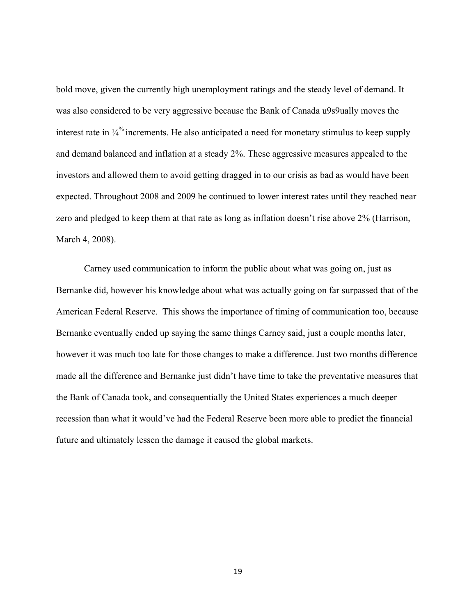bold move, given the currently high unemployment ratings and the steady level of demand. It was also considered to be very aggressive because the Bank of Canada u9s9ually moves the interest rate in  $\frac{1}{4}$  increments. He also anticipated a need for monetary stimulus to keep supply and demand balanced and inflation at a steady 2%. These aggressive measures appealed to the investors and allowed them to avoid getting dragged in to our crisis as bad as would have been expected. Throughout 2008 and 2009 he continued to lower interest rates until they reached near zero and pledged to keep them at that rate as long as inflation doesn't rise above 2% (Harrison, March 4, 2008).

Carney used communication to inform the public about what was going on, just as Bernanke did, however his knowledge about what was actually going on far surpassed that of the American Federal Reserve. This shows the importance of timing of communication too, because Bernanke eventually ended up saying the same things Carney said, just a couple months later, however it was much too late for those changes to make a difference. Just two months difference made all the difference and Bernanke just didn't have time to take the preventative measures that the Bank of Canada took, and consequentially the United States experiences a much deeper recession than what it would've had the Federal Reserve been more able to predict the financial future and ultimately lessen the damage it caused the global markets.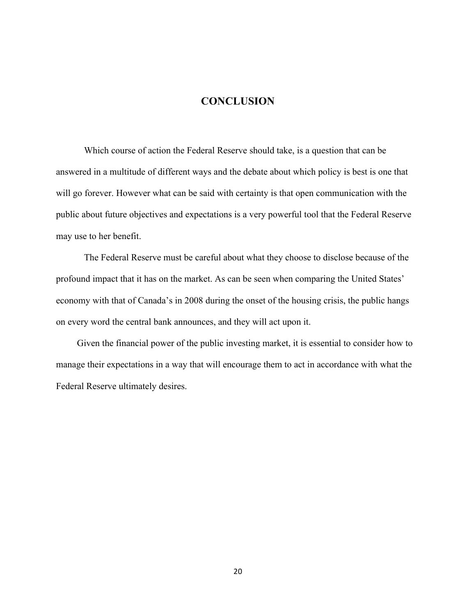# **CONCLUSION**

Which course of action the Federal Reserve should take, is a question that can be answered in a multitude of different ways and the debate about which policy is best is one that will go forever. However what can be said with certainty is that open communication with the public about future objectives and expectations is a very powerful tool that the Federal Reserve may use to her benefit.

The Federal Reserve must be careful about what they choose to disclose because of the profound impact that it has on the market. As can be seen when comparing the United States' economy with that of Canada's in 2008 during the onset of the housing crisis, the public hangs on every word the central bank announces, and they will act upon it.

Given the financial power of the public investing market, it is essential to consider how to manage their expectations in a way that will encourage them to act in accordance with what the Federal Reserve ultimately desires.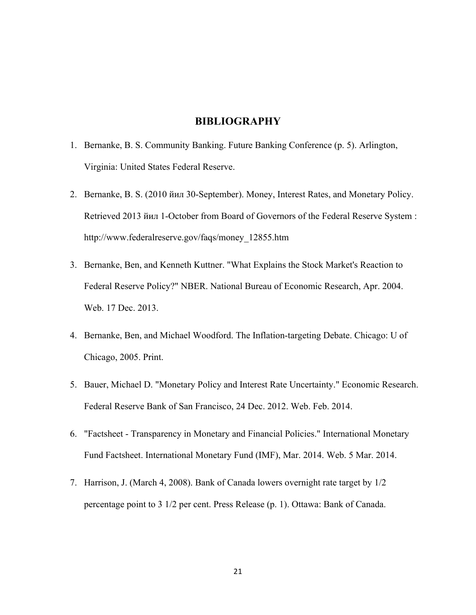# **BIBLIOGRAPHY**

- 1. Bernanke, B. S. Community Banking. Future Banking Conference (p. 5). Arlington, Virginia: United States Federal Reserve.
- 2. Bernanke, B. S. (2010 йил 30-September). Money, Interest Rates, and Monetary Policy. Retrieved 2013 йил 1-October from Board of Governors of the Federal Reserve System : http://www.federalreserve.gov/faqs/money\_12855.htm
- 3. Bernanke, Ben, and Kenneth Kuttner. "What Explains the Stock Market's Reaction to Federal Reserve Policy?" NBER. National Bureau of Economic Research, Apr. 2004. Web. 17 Dec. 2013.
- 4. Bernanke, Ben, and Michael Woodford. The Inflation-targeting Debate. Chicago: U of Chicago, 2005. Print.
- 5. Bauer, Michael D. "Monetary Policy and Interest Rate Uncertainty." Economic Research. Federal Reserve Bank of San Francisco, 24 Dec. 2012. Web. Feb. 2014.
- 6. "Factsheet Transparency in Monetary and Financial Policies." International Monetary Fund Factsheet. International Monetary Fund (IMF), Mar. 2014. Web. 5 Mar. 2014.
- 7. Harrison, J. (March 4, 2008). Bank of Canada lowers overnight rate target by 1/2 percentage point to 3 1/2 per cent. Press Release (p. 1). Ottawa: Bank of Canada.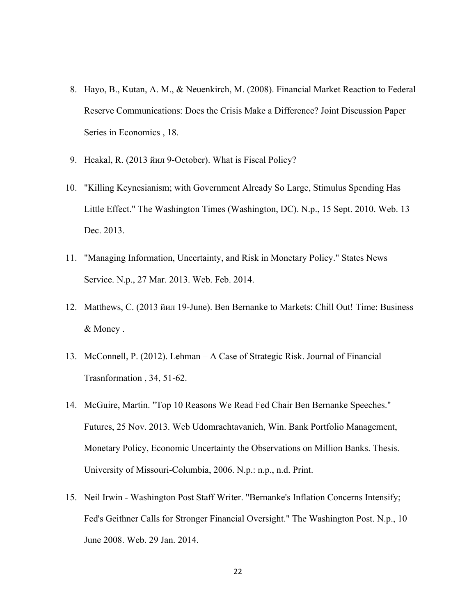- 8. Hayo, B., Kutan, A. M., & Neuenkirch, M. (2008). Financial Market Reaction to Federal Reserve Communications: Does the Crisis Make a Difference? Joint Discussion Paper Series in Economics , 18.
- 9. Heakal, R. (2013 йил 9-October). What is Fiscal Policy?
- 10. "Killing Keynesianism; with Government Already So Large, Stimulus Spending Has Little Effect." The Washington Times (Washington, DC). N.p., 15 Sept. 2010. Web. 13 Dec. 2013.
- 11. "Managing Information, Uncertainty, and Risk in Monetary Policy." States News Service. N.p., 27 Mar. 2013. Web. Feb. 2014.
- 12. Matthews, C. (2013 йил 19-June). Ben Bernanke to Markets: Chill Out! Time: Business & Money .
- 13. McConnell, P. (2012). Lehman A Case of Strategic Risk. Journal of Financial Trasnformation , 34, 51-62.
- 14. McGuire, Martin. "Top 10 Reasons We Read Fed Chair Ben Bernanke Speeches." Futures, 25 Nov. 2013. Web Udomrachtavanich, Win. Bank Portfolio Management, Monetary Policy, Economic Uncertainty the Observations on Million Banks. Thesis. University of Missouri-Columbia, 2006. N.p.: n.p., n.d. Print.
- 15. Neil Irwin Washington Post Staff Writer. "Bernanke's Inflation Concerns Intensify; Fed's Geithner Calls for Stronger Financial Oversight." The Washington Post. N.p., 10 June 2008. Web. 29 Jan. 2014.